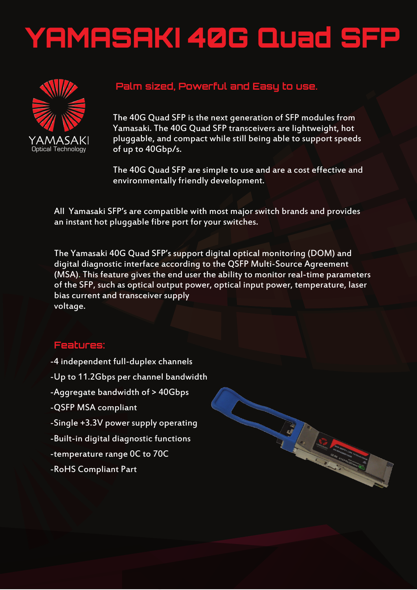## YAMASAKI 40G Quad SFP



## **Palm sized, Powerful and Easy to use.**

The 40G Quad SFP is the next generation of SFP modules from Yamasaki. The 40G Quad SFP transceivers are lightweight, hot pluggable, and compact while still being able to support speeds of up to 40Gbp/s.

The 40G Quad SFP are simple to use and are a cost effective and environmentally friendly development.

Arthur Charles Company of the Company of the Company of the Company of the Company of the Company of the Company of

All Yamasaki SFP's are compatible with most major switch brands and provides an instant hot pluggable fibre port for your switches.

The Yamasaki 40G Quad SFP's support digital optical monitoring (DOM) and digital diagnostic interface according to the QSFP Multi-Source Agreement (MSA). This feature gives the end user the ability to monitor real-time parameters of the SFP, such as optical output power, optical input power, temperature, laser bias current and transceiver supply voltage.

## **Features:**

- -4 independent full-duplex channels
- -Up to 11.2Gbps per channel bandwidth
- -Aggregate bandwidth of > 40Gbps
- -QSFP MSA compliant
- -Single +3.3V power supply operating
- -Built-in digital diagnostic functions
- -temperature range 0C to 70C
- -RoHS Compliant Part